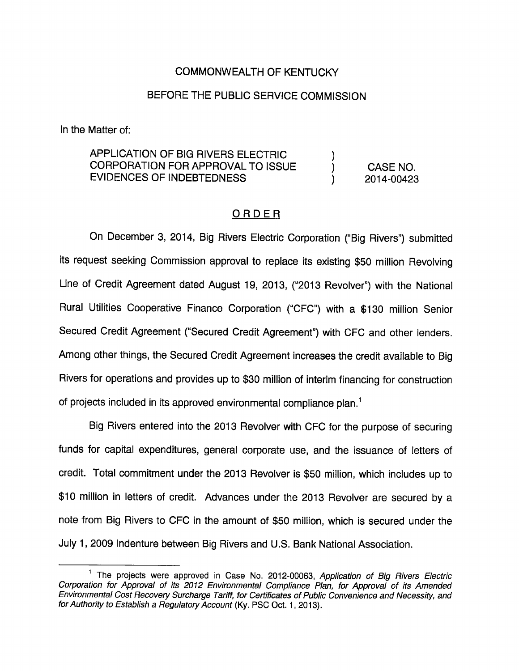# COMMONWEALTH OF KENTUCKY

## BEFORE THE PUBLIC SERVICE COMMISSION

In the Matter of:

APPLICATION OF BIG RIVERS ELECTRIC ) CORPORATION FOR APPROVAL TO ISSUE ) CASE NO. EVIDENCES OF INDEBTEDNESS ) 2014-00423

# ORDER

On December 3, 2014, Big Rivers Electric Corporation ("Big Rivers") submitted its request seeking Commission approval to replace its existing \$50 million Revolving Line of Credit Agreement dated August 19, 2013, ("2013 Revolver") with the National Rural Utilities Cooperative Finance Corporation ("CFC") with a \$130 million Senior Secured Credit Agreement ("Secured Credit Agreement") with CFC and other lenders. Among other things, the Secured Credit Agreement increases the credit available to Big Rivers for operations and provides up to \$30 million of interim financing for construction of projects included in its approved environmental compliance plan. $<sup>1</sup>$ </sup>

Big Rivers entered into the 2013 Revolver with CFC for the purpose of securing funds for capital expenditures, general corporate use, and the issuance of letters of credit. Total commitment under the 2013 Revolver is \$50 million, which includes up to \$10 million in letters of credit. Advances under the 2013 Revolver are secured by a note from Big Rivers to CFC in the amount of \$50 million, which is secured under the July 1, 2009 Indenture between Big Rivers and U.S. Bank National Association.

 $^1$  The projects were approved in Case No. 2012-00063, Application of Big Rivers Electric Corporation for Approval of its 2012 Environmental Compliance Plan, for Approval of its Amended Environmental Cost Recovery Surcharge Tariff, for Certificates of Public Convenience and Necessity, and for Authority to Establish a Regulatory Account (Ky. PSC Oct. 1, 2013).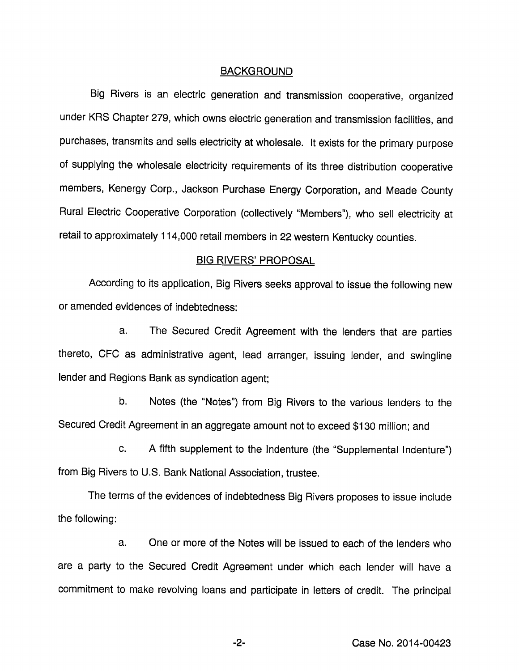#### BACKGROUND

Big Rivers is an electric generation and transmission cooperative, organized under KRS Chapter 279, which owns electric generation and transmission facilities, and purchases, transmits and sells electricity at wholesale. It exists for the primary purpose of supplying the wholesale electricity requirements of its three distribution cooperative members, Kenergy Corp., Jackson Purchase Energy Corporation, and Meade County Rural Electric Cooperative Corporation (collectively "Members"), who sell electricity at retail to approximately 114,000 retail members in 22 western Kentucky counties.

### BIG RIVERS' PROPOSAL

According to its application. Big Rivers seeks approval to issue the following new or amended evidences of indebtedness:

a. The Secured Credit Agreement with the lenders that are parties thereto, CFC as administrative agent, lead arranger, issuing lender, and swingline lender and Regions Bank as syndication agent;

b. Notes (the "Notes") from Big Rivers to the various lenders to the Secured Credit Agreement in an aggregate amount not to exceed \$130 million; and

c. A fifth supplement to the Indenture (the "Supplemental Indenture") from Big Rivers to U.S. Bank National Association, trustee.

The terms of the evidences of indebtedness Big Rivers proposes to issue include the following:

a. One or more of the Notes will be Issued to each of the lenders who are a party to the Secured Credit Agreement under which each lender will have a commitment to make revolving loans and participate in letters of credit. The principal

-2- Case No. 2014-00423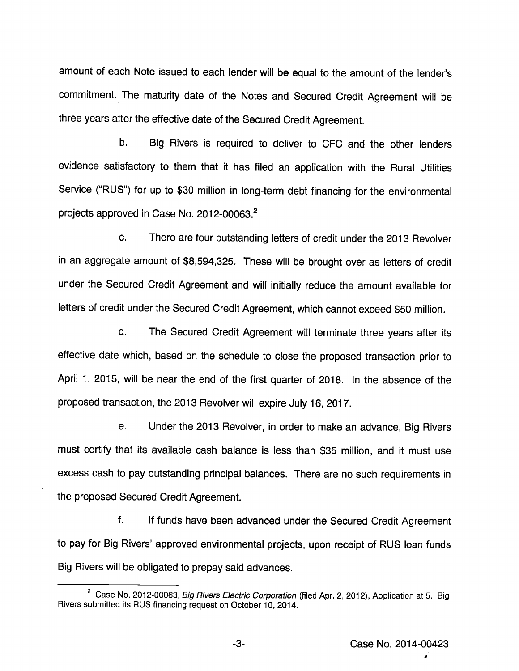amount of each Note issued to each lender will be equal to the amount of the lender's commitment. The maturity date of the Notes and Secured Credit Agreement will be three years after the effective date of the Secured Credit Agreement.

b. Big Rivers is required to deliver to CFC and the other lenders evidence satisfactory to them that it has filed an application with the Rural Utilities Service ("RUS") for up to \$30 million in long-term debt financing for the environmental projects approved in Case No. 2012-00063. $^2$ 

c. There are four outstanding letters of credit under the 2013 Revolver in an aggregate amount of \$8,594,325. These will be brought over as letters of credit under the Secured Credit Agreement and will initially reduce the amount available for letters of credit under the Secured Credit Agreement, which cannot exceed \$50 million.

d. The Secured Credit Agreement will terminate three years after its effective date which, based on the schedule to close the proposed transaction prior to April 1, 2015, will be near the end of the first quarter of 2018. In the absence of the proposed transaction, the 2013 Revolver will expire July 16, 2017.

e. Under the 2013 Revolver, in order to make an advance. Big Rivers must certify that its available cash balance is less than \$35 million, and it must use excess cash to pay outstanding principal balances. There are no such requirements in the proposed Secured Credit Agreement.

f. If funds have been advanced under the Secured Credit Agreement to pay for Big Rivers' approved environmental projects, upon receipt of RUS loan funds Big Rivers will be obligated to prepay said advances.

<sup>&</sup>lt;sup>2</sup> Case No. 2012-00063, Big Rivers Electric Corporation (filed Apr. 2, 2012), Application at 5. Big Rivers submitted its RUS financing request on October 10, 2014.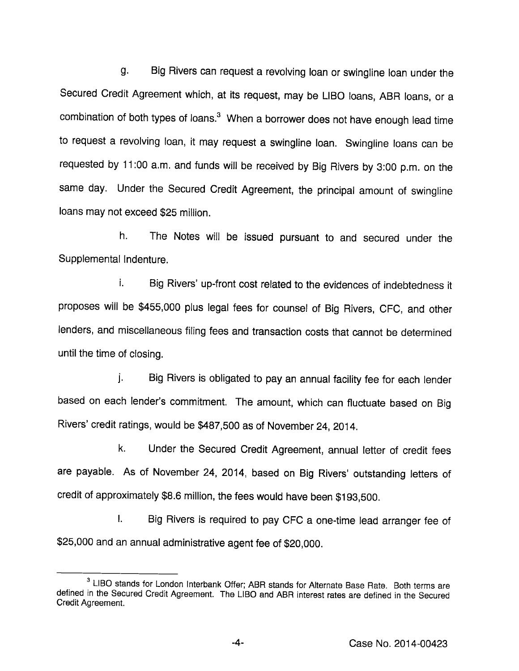g. Big Rivers can request a revolving loan or swingline loan under the Secured Credit Agreement which, at its request, may be LIBO loans, ABR loans, or a combination of both types of loans. $<sup>3</sup>$  When a borrower does not have enough lead time</sup> to request a revolving loan, it may request a swingline loan. Swingline loans can be requested by 11:00 a.m. and funds will be received by Big Rivers by 3:00 p.m. on the same day. Under the Secured Credit Agreement, the principal amount of swingline loans may not exceed \$25 million.

h. The Notes will be issued pursuant to and secured under the Supplemental Indenture.

i. Big Rivers' up-front cost related to the evidences of indebtedness it proposes will be \$455,000 plus legal fees for counsel of Big Rivers, CFC, and other lenders, and miscellaneous filing fees and transaction costs that cannot be determined until the time of closing.

j. Big Rivers is obligated to pay an annual facility fee for each lender based on each lender's commitment. The amount, which can fluctuate based on Big Rivers' credit ratings, would be \$487,500 as of November 24, 2014.

k. Under the Secured Credit Agreement, annual letter of credit fees are payable. As of November 24, 2014, based on Big Rivers' outstanding letters of credit of approximately \$8.6 million, the fees would have been \$193,500.

I. Big Rivers is required to pay CFC a one-time lead arranger fee of \$25,000 and an annual administrative agent fee of \$20,000.

 $3$  LIBO stands for London Interbank Offer; ABR stands for Alternate Base Rate. Both terms are defined in the Secured Credit Agreement. The LIBO and ABR interest rates are defined in the Secured Credit Agreement.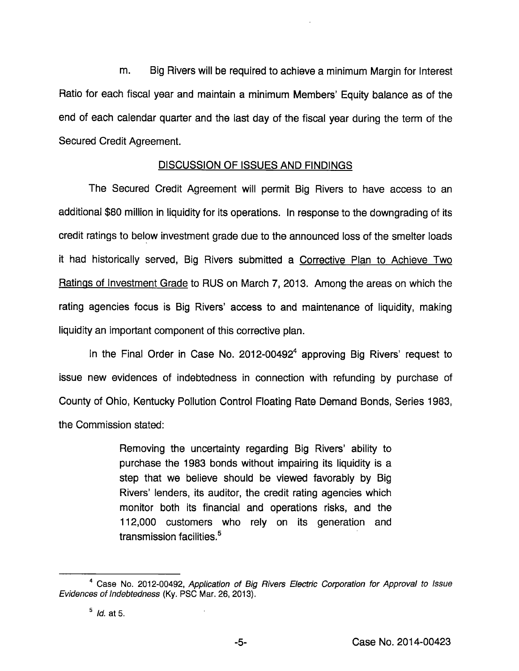m. Big Rivers will be required to achieve a minimum Margin for Interest Ratio for each fiscal year and maintain a minimum Members' Equity balance as of the end of each calendar quarter and the last day of the fiscal year during the term of the Secured Credit Agreement.

## DISCUSSION OF ISSUES AND FINDINGS

The Secured Credit Agreement will permit Big Rivers to have access to an additional \$80 million in liquidity for its operations. In response to the downgrading of its credit ratings to below investment grade due to the announced loss of the smelter loads it had historically served, Big Rivers submitted a Corrective Plan to Achieve Two Ratings of Investment Grade to RUS on March 7, 2013. Among the areas on which the rating agencies focus is Big Rivers' access to and maintenance of liquidity, making liquidity an important component of this corrective plan.

In the Final Order in Case No. 2012-00492 $4$  approving Big Rivers' request to issue new evidences of indebtedness in connection with refunding by purchase of County of Ohio, Kentucky Pollution Control Floating Rate Demand Bonds, Series 1983, the Commission stated:

> Removing the uncertainty regarding Big Rivers' ability to purchase the 1983 bonds without impairing its liquidity is a step that we believe should be viewed favorably by Big Rivers' lenders, its auditor, the credit rating agencies which monitor both its financial and operations risks, and the 112,000 customers who rely on its generation and transmission facilities.<sup>5</sup>

<sup>&</sup>lt;sup>4</sup> Case No. 2012-00492, Application of Big Rivers Electric Corporation for Approval to Issue Evidences of indebtedness (Ky. PSC Mar. 26, 2013).

 $<sup>5</sup>$  *ld.* at 5.</sup>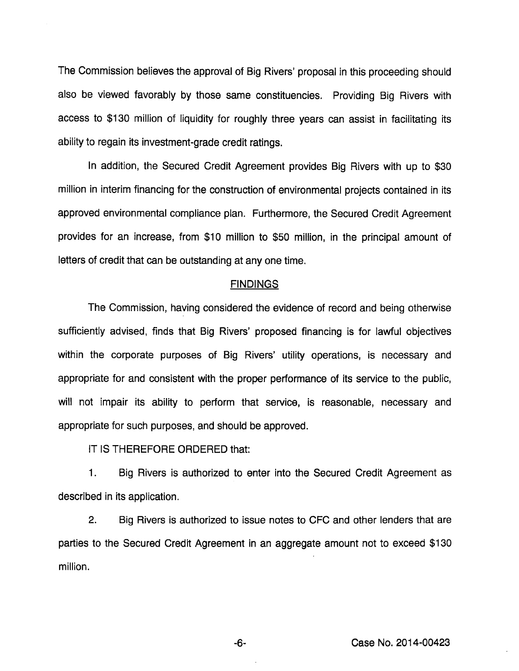The Commission believes the approval of Big Rivers' proposal in this proceeding should also be viewed favorably by those same constituencies. Providing Big Rivers with access to \$130 million of liquidity for roughly three years can assist in facilitating its ability to regain its investment-grade credit ratings.

In addition, the Secured Credit Agreement provides Big Rivers with up to \$30 million in interim financing for the construction of environmental projects contained in its approved environmental compliance plan. Furthermore, the Secured Credit Agreement provides for an increase, from \$10 million to \$50 million, in the principal amount of letters of credit that can be outstanding at any one time.

### **FINDINGS**

The Commission, having considered the evidence of record and being othenwise sufficiently advised, finds that Big Rivers' proposed financing is for lawful objectives within the corporate purposes of Big Rivers' utility operations, is necessary and appropriate for and consistent with the proper performance of its service to the public, will not impair its ability to perform that service, is reasonable, necessary and appropriate for such purposes, and should be approved.

IT IS THEREFORE ORDERED that:

1. Big Rivers is authorized to enter into the Secured Credit Agreement as described in its application.

2. Big Rivers is authorized to issue notes to CFC and other lenders that are parties to the Secured Credit Agreement in an aggregate amount not to exceed \$130 million.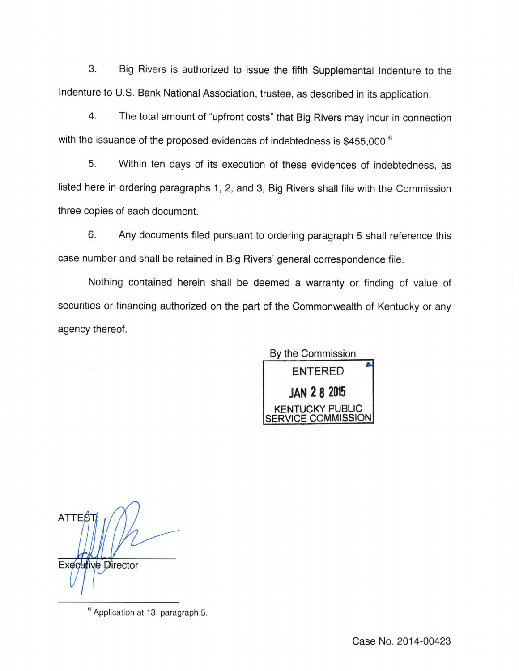3. Big Rivers is authorized to issue the fifth Supplemental Indenture to the Indenture to U.S. Bank National Association, trustee, as described in its application.

4. The total amount of "upfront costs" that Big Rivers may incur in connection with the issuance of the proposed evidences of indebtedness is \$455,000.<sup>6</sup>

5. Within ten days of its execution of these evidences of indebtedness, as listed here in ordering paragraphs 1, 2, and 3, Big Rivers shall file with the Commission three copies of each document.

6. Any documents filed pursuant to ordering paragraph 5 shall reference this case number and shall be retained in Big Rivers' general correspondence file.

Nothing contained herein shall be deemed a warranty or finding of value of securities or financing authorized on the part of the Commonwealth of Kentucky or any agency thereof.

By the Commission ENTERED JAN 2 8 2015 KENTUCKY PUBLIC ERVICE COMMISSION

ATTES<sub>1</sub> Executive Director

<sup>6</sup> Application at 13, paragraph 5.